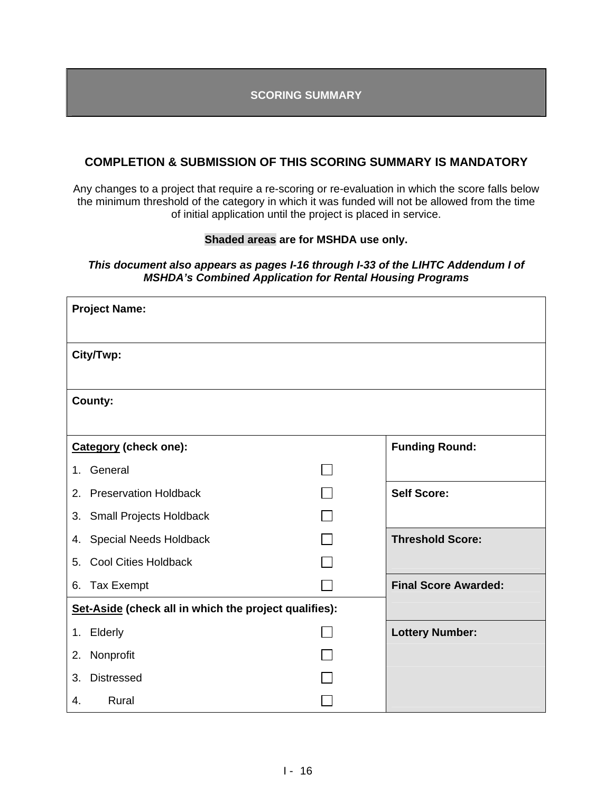**SCORING SUMMARY** 

### **COMPLETION & SUBMISSION OF THIS SCORING SUMMARY IS MANDATORY**

Any changes to a project that require a re-scoring or re-evaluation in which the score falls below the minimum threshold of the category in which it was funded will not be allowed from the time of initial application until the project is placed in service.

### **Shaded areas are for MSHDA use only.**

### *This document also appears as pages I-16 through I-33 of the LIHTC Addendum I of MSHDA's Combined Application for Rental Housing Programs*

|         | <b>Project Name:</b>                                  |                             |
|---------|-------------------------------------------------------|-----------------------------|
|         | City/Twp:                                             |                             |
|         | County:                                               |                             |
|         | <b>Category (check one):</b>                          | <b>Funding Round:</b>       |
| $1_{-}$ | General                                               |                             |
| 2.      | <b>Preservation Holdback</b>                          | <b>Self Score:</b>          |
| 3.      | <b>Small Projects Holdback</b>                        |                             |
| 4.      | <b>Special Needs Holdback</b>                         | <b>Threshold Score:</b>     |
| 5.      | <b>Cool Cities Holdback</b>                           |                             |
| 6.      | <b>Tax Exempt</b>                                     | <b>Final Score Awarded:</b> |
|         | Set-Aside (check all in which the project qualifies): |                             |
| 1.      | Elderly                                               | <b>Lottery Number:</b>      |
| 2.      | Nonprofit                                             |                             |
| 3.      | <b>Distressed</b>                                     |                             |
| 4.      | Rural                                                 |                             |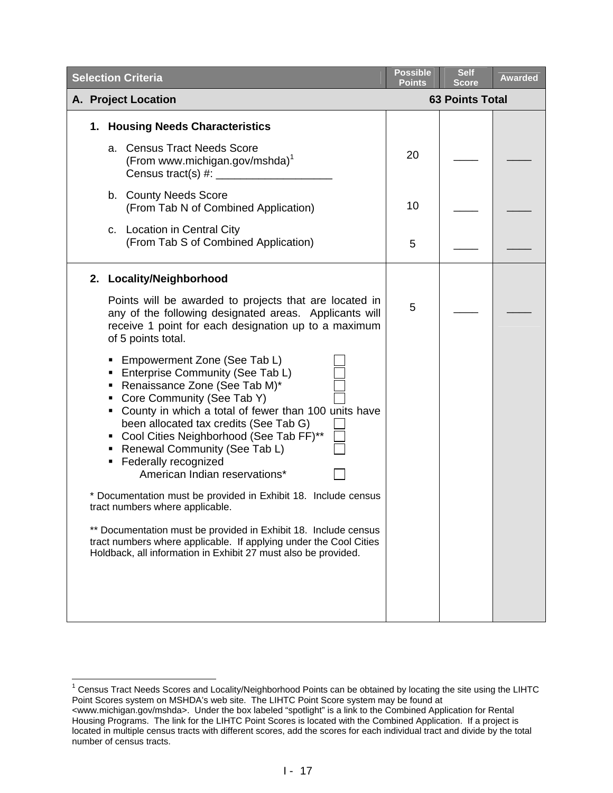| <b>Selection Criteria</b>                                                                                                                                                                                                                                                                                                                                                         | <b>Possible</b><br><b>Points</b> | <b>Self</b><br><b>Score</b> | <b>Awarded</b> |
|-----------------------------------------------------------------------------------------------------------------------------------------------------------------------------------------------------------------------------------------------------------------------------------------------------------------------------------------------------------------------------------|----------------------------------|-----------------------------|----------------|
| A. Project Location                                                                                                                                                                                                                                                                                                                                                               |                                  | <b>63 Points Total</b>      |                |
| 1. Housing Needs Characteristics                                                                                                                                                                                                                                                                                                                                                  |                                  |                             |                |
| <b>Census Tract Needs Score</b><br>a.<br>(From www.michigan.gov/mshda) <sup>1</sup><br>Census tract(s) #: _____________                                                                                                                                                                                                                                                           | 20                               |                             |                |
| b. County Needs Score<br>(From Tab N of Combined Application)                                                                                                                                                                                                                                                                                                                     | 10                               |                             |                |
| c. Location in Central City<br>(From Tab S of Combined Application)                                                                                                                                                                                                                                                                                                               | 5                                |                             |                |
| 2. Locality/Neighborhood                                                                                                                                                                                                                                                                                                                                                          |                                  |                             |                |
| Points will be awarded to projects that are located in<br>any of the following designated areas. Applicants will<br>receive 1 point for each designation up to a maximum<br>of 5 points total.                                                                                                                                                                                    | 5                                |                             |                |
| Empowerment Zone (See Tab L)<br>Enterprise Community (See Tab L)<br>• Renaissance Zone (See Tab M)*<br>Core Community (See Tab Y)<br>• County in which a total of fewer than 100 units have<br>been allocated tax credits (See Tab G)<br>• Cool Cities Neighborhood (See Tab FF)**<br>Renewal Community (See Tab L)<br>Federally recognized<br>٠<br>American Indian reservations* |                                  |                             |                |
| * Documentation must be provided in Exhibit 18. Include census<br>tract numbers where applicable.                                                                                                                                                                                                                                                                                 |                                  |                             |                |
| ** Documentation must be provided in Exhibit 18. Include census<br>tract numbers where applicable. If applying under the Cool Cities<br>Holdback, all information in Exhibit 27 must also be provided.                                                                                                                                                                            |                                  |                             |                |
|                                                                                                                                                                                                                                                                                                                                                                                   |                                  |                             |                |

<span id="page-1-0"></span> 1 Census Tract Needs Scores and Locality/Neighborhood Points can be obtained by locating the site using the LIHTC Point Scores system on MSHDA's web site. The LIHTC Point Score system may be found at

<sup>&</sup>lt;www.michigan.gov/mshda>. Under the box labeled "spotlight" is a link to the Combined Application for Rental Housing Programs. The link for the LIHTC Point Scores is located with the Combined Application. If a project is located in multiple census tracts with different scores, add the scores for each individual tract and divide by the total number of census tracts.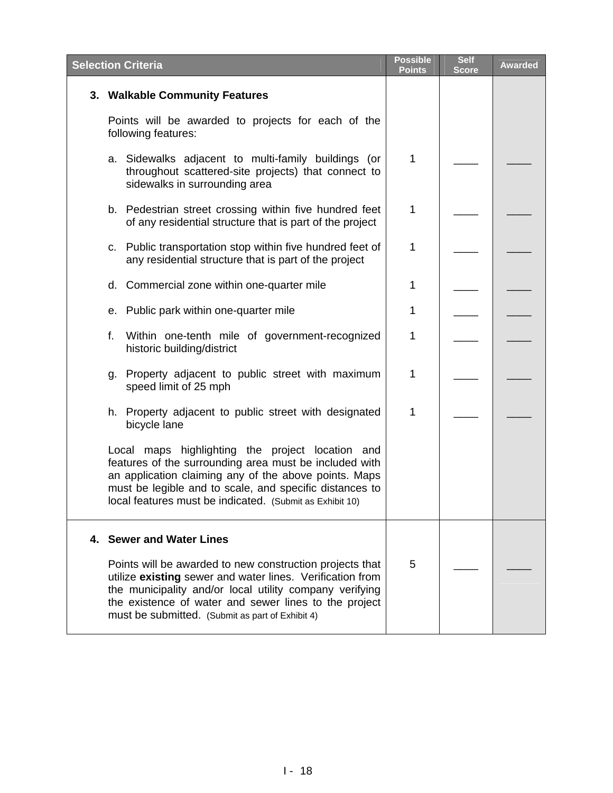| <b>Selection Criteria</b>                                                                                                                                                                                                                                                                     | <b>Possible</b><br><b>Points</b> | <b>Self</b><br><b>Score</b> | <b>Awarded</b> |
|-----------------------------------------------------------------------------------------------------------------------------------------------------------------------------------------------------------------------------------------------------------------------------------------------|----------------------------------|-----------------------------|----------------|
| 3. Walkable Community Features                                                                                                                                                                                                                                                                |                                  |                             |                |
| Points will be awarded to projects for each of the<br>following features:                                                                                                                                                                                                                     |                                  |                             |                |
| a. Sidewalks adjacent to multi-family buildings (or<br>throughout scattered-site projects) that connect to<br>sidewalks in surrounding area                                                                                                                                                   | 1                                |                             |                |
| b. Pedestrian street crossing within five hundred feet<br>of any residential structure that is part of the project                                                                                                                                                                            | 1                                |                             |                |
| c. Public transportation stop within five hundred feet of<br>any residential structure that is part of the project                                                                                                                                                                            | 1                                |                             |                |
| d. Commercial zone within one-quarter mile                                                                                                                                                                                                                                                    | 1                                |                             |                |
| e. Public park within one-quarter mile                                                                                                                                                                                                                                                        | 1                                |                             |                |
| f.<br>Within one-tenth mile of government-recognized<br>historic building/district                                                                                                                                                                                                            | 1                                |                             |                |
| g. Property adjacent to public street with maximum<br>speed limit of 25 mph                                                                                                                                                                                                                   | 1                                |                             |                |
| h. Property adjacent to public street with designated<br>bicycle lane                                                                                                                                                                                                                         | 1                                |                             |                |
| Local maps highlighting the project location and<br>features of the surrounding area must be included with<br>an application claiming any of the above points. Maps<br>must be legible and to scale, and specific distances to<br>local features must be indicated. (Submit as Exhibit 10)    |                                  |                             |                |
| 4. Sewer and Water Lines                                                                                                                                                                                                                                                                      |                                  |                             |                |
| Points will be awarded to new construction projects that<br>utilize existing sewer and water lines. Verification from<br>the municipality and/or local utility company verifying<br>the existence of water and sewer lines to the project<br>must be submitted. (Submit as part of Exhibit 4) | 5                                |                             |                |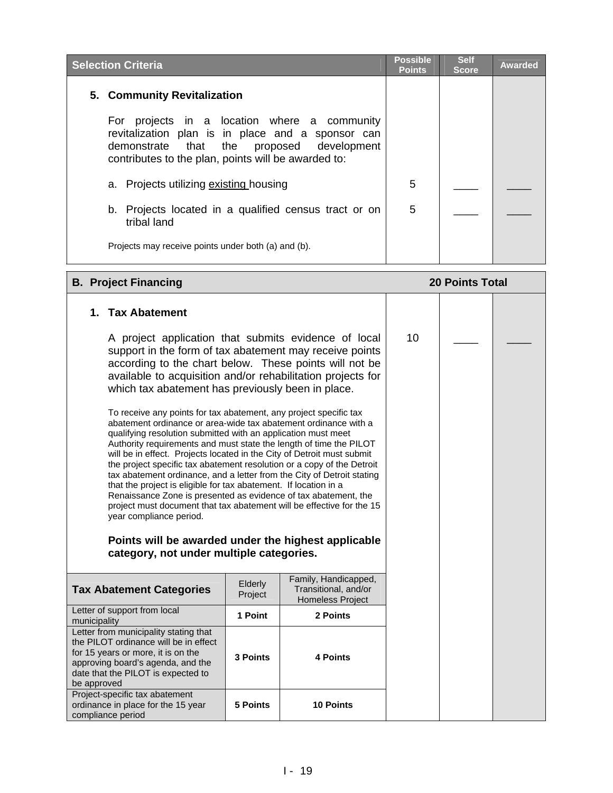| <b>Selection Criteria</b>                                                                                                                                                                                | <b>Possible</b><br><b>Points</b> | <b>Self</b><br><b>Score</b> | <b>Awarded</b> |
|----------------------------------------------------------------------------------------------------------------------------------------------------------------------------------------------------------|----------------------------------|-----------------------------|----------------|
| 5. Community Revitalization                                                                                                                                                                              |                                  |                             |                |
| projects in a location where a community<br>For<br>revitalization plan is in place and a sponsor can<br>demonstrate that the proposed development<br>contributes to the plan, points will be awarded to: |                                  |                             |                |
| a. Projects utilizing existing housing                                                                                                                                                                   | 5                                |                             |                |
| b. Projects located in a qualified census tract or on<br>tribal land                                                                                                                                     | 5                                |                             |                |
| Projects may receive points under both (a) and (b).                                                                                                                                                      |                                  |                             |                |

#### **B. Project Financing 20 Points Total 1. Tax Abatement**  A project application that submits evidence of local support in the form of tax abatement may receive points according to the chart below. These points will not be available to acquisition and/or rehabilitation projects for which tax abatement has previously been in place. To receive any points for tax abatement, any project specific tax abatement ordinance or area-wide tax abatement ordinance with a qualifying resolution submitted with an application must meet Authority requirements and must state the length of time the PILOT will be in effect. Projects located in the City of Detroit must submit the project specific tax abatement resolution or a copy of the Detroit tax abatement ordinance, and a letter from the City of Detroit stating that the project is eligible for tax abatement. If location in a Renaissance Zone is presented as evidence of tax abatement, the project must document that tax abatement will be effective for the 15 year compliance period. **Points will be awarded under the highest applicable category, not under multiple categories. Tax Abatement Categories** Elderly Project Family, Handicapped, Transitional, and/or Homeless Project Letter of support from local municipality **1 Point 2 Points**  Letter from municipality stating that the PILOT ordinance will be in effect for 15 years or more, it is on the approving board's agenda, and the date that the PILOT is expected to be approved **3 Points 4 Points**  Project-specific tax abatement ordinance in place for the 15 year **5 Points 10 Points**  10  $\Box$   $\Box$

compliance period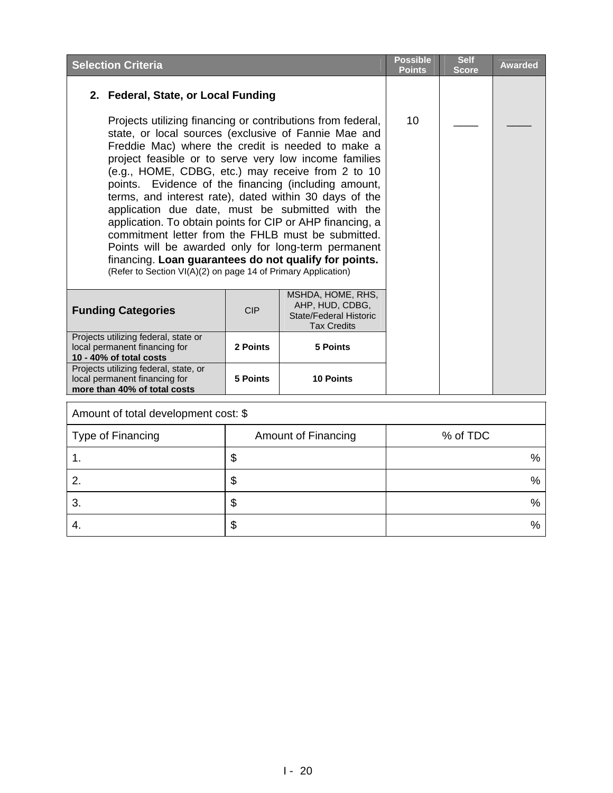| <b>Selection Criteria</b>                                                                                                                                                                                                                                                                                                                                                                                                                                                                                                                                                                                                                                                                                                                                        |            |                                                                                      | <b>Possible</b><br><b>Points</b> | <b>Self</b><br><b>Score</b> | <b>Awarded</b> |
|------------------------------------------------------------------------------------------------------------------------------------------------------------------------------------------------------------------------------------------------------------------------------------------------------------------------------------------------------------------------------------------------------------------------------------------------------------------------------------------------------------------------------------------------------------------------------------------------------------------------------------------------------------------------------------------------------------------------------------------------------------------|------------|--------------------------------------------------------------------------------------|----------------------------------|-----------------------------|----------------|
| 2. Federal, State, or Local Funding                                                                                                                                                                                                                                                                                                                                                                                                                                                                                                                                                                                                                                                                                                                              |            |                                                                                      |                                  |                             |                |
| Projects utilizing financing or contributions from federal,<br>state, or local sources (exclusive of Fannie Mae and<br>Freddie Mac) where the credit is needed to make a<br>project feasible or to serve very low income families<br>(e.g., HOME, CDBG, etc.) may receive from 2 to 10<br>points. Evidence of the financing (including amount,<br>terms, and interest rate), dated within 30 days of the<br>application due date, must be submitted with the<br>application. To obtain points for CIP or AHP financing, a<br>commitment letter from the FHLB must be submitted.<br>Points will be awarded only for long-term permanent<br>financing. Loan guarantees do not qualify for points.<br>(Refer to Section VI(A)(2) on page 14 of Primary Application) | 10         |                                                                                      |                                  |                             |                |
| <b>Funding Categories</b>                                                                                                                                                                                                                                                                                                                                                                                                                                                                                                                                                                                                                                                                                                                                        | <b>CIP</b> | MSHDA, HOME, RHS,<br>AHP, HUD, CDBG,<br>State/Federal Historic<br><b>Tax Credits</b> |                                  |                             |                |
| Projects utilizing federal, state or<br>local permanent financing for<br>10 - 40% of total costs                                                                                                                                                                                                                                                                                                                                                                                                                                                                                                                                                                                                                                                                 |            |                                                                                      |                                  |                             |                |
| Projects utilizing federal, state, or<br>local permanent financing for<br>more than 40% of total costs                                                                                                                                                                                                                                                                                                                                                                                                                                                                                                                                                                                                                                                           |            |                                                                                      |                                  |                             |                |
| Amount of total development cost: \$                                                                                                                                                                                                                                                                                                                                                                                                                                                                                                                                                                                                                                                                                                                             |            |                                                                                      |                                  |                             |                |

| Type of Financing | <b>Amount of Financing</b> | % of TDC |
|-------------------|----------------------------|----------|
|                   | จ                          | %        |
| ႒                 | Φ                          | $\%$     |
| 3.                | ◡                          | %        |
| -4.               | จ                          | %        |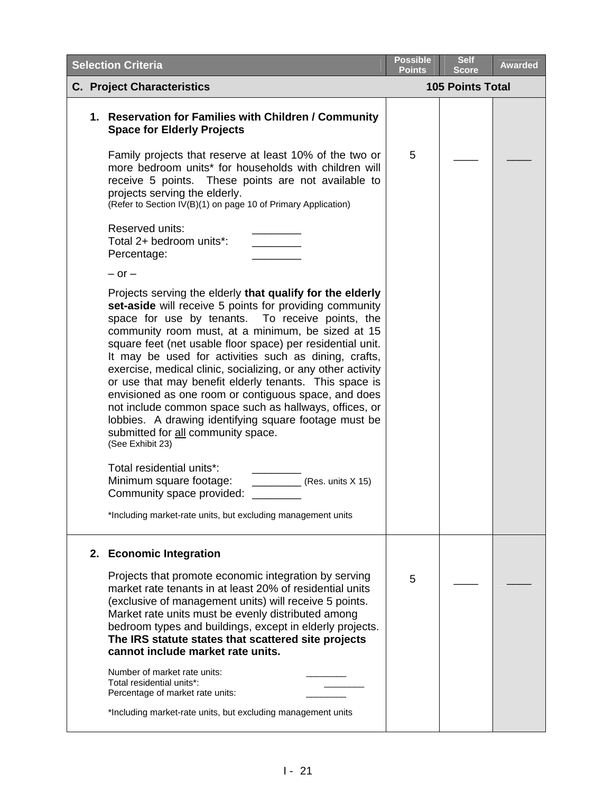| <b>Selection Criteria</b>                                                                                                                                                                                                                                                                                                                                                                                                                                                                                                                                                                                                                                                                                                                                                                                                                                                                        | <b>Possible</b><br>Points | <b>Self</b><br><b>Score</b> | <b>Awarded</b> |
|--------------------------------------------------------------------------------------------------------------------------------------------------------------------------------------------------------------------------------------------------------------------------------------------------------------------------------------------------------------------------------------------------------------------------------------------------------------------------------------------------------------------------------------------------------------------------------------------------------------------------------------------------------------------------------------------------------------------------------------------------------------------------------------------------------------------------------------------------------------------------------------------------|---------------------------|-----------------------------|----------------|
| <b>C. Project Characteristics</b>                                                                                                                                                                                                                                                                                                                                                                                                                                                                                                                                                                                                                                                                                                                                                                                                                                                                |                           | <b>105 Points Total</b>     |                |
| 1. Reservation for Families with Children / Community<br><b>Space for Elderly Projects</b>                                                                                                                                                                                                                                                                                                                                                                                                                                                                                                                                                                                                                                                                                                                                                                                                       |                           |                             |                |
| Family projects that reserve at least 10% of the two or<br>more bedroom units* for households with children will<br>receive 5 points. These points are not available to<br>projects serving the elderly.<br>(Refer to Section IV(B)(1) on page 10 of Primary Application)                                                                                                                                                                                                                                                                                                                                                                                                                                                                                                                                                                                                                        | 5                         |                             |                |
| Reserved units:<br>Total 2+ bedroom units*:<br>Percentage:                                                                                                                                                                                                                                                                                                                                                                                                                                                                                                                                                                                                                                                                                                                                                                                                                                       |                           |                             |                |
| $-$ or $-$                                                                                                                                                                                                                                                                                                                                                                                                                                                                                                                                                                                                                                                                                                                                                                                                                                                                                       |                           |                             |                |
| Projects serving the elderly that qualify for the elderly<br>set-aside will receive 5 points for providing community<br>space for use by tenants.<br>To receive points, the<br>community room must, at a minimum, be sized at 15<br>square feet (net usable floor space) per residential unit.<br>It may be used for activities such as dining, crafts,<br>exercise, medical clinic, socializing, or any other activity<br>or use that may benefit elderly tenants. This space is<br>envisioned as one room or contiguous space, and does<br>not include common space such as hallways, offices, or<br>lobbies. A drawing identifying square footage must be<br>submitted for all community space.<br>(See Exhibit 23)<br>Total residential units*:<br>Minimum square footage:<br>(Res. units X 15)<br>Community space provided:<br>*Including market-rate units, but excluding management units |                           |                             |                |
| 2. Economic Integration<br>Projects that promote economic integration by serving                                                                                                                                                                                                                                                                                                                                                                                                                                                                                                                                                                                                                                                                                                                                                                                                                 | 5                         |                             |                |
| market rate tenants in at least 20% of residential units<br>(exclusive of management units) will receive 5 points.<br>Market rate units must be evenly distributed among<br>bedroom types and buildings, except in elderly projects.<br>The IRS statute states that scattered site projects<br>cannot include market rate units.                                                                                                                                                                                                                                                                                                                                                                                                                                                                                                                                                                 |                           |                             |                |
| Number of market rate units:<br>Total residential units*:<br>Percentage of market rate units:                                                                                                                                                                                                                                                                                                                                                                                                                                                                                                                                                                                                                                                                                                                                                                                                    |                           |                             |                |
| *Including market-rate units, but excluding management units                                                                                                                                                                                                                                                                                                                                                                                                                                                                                                                                                                                                                                                                                                                                                                                                                                     |                           |                             |                |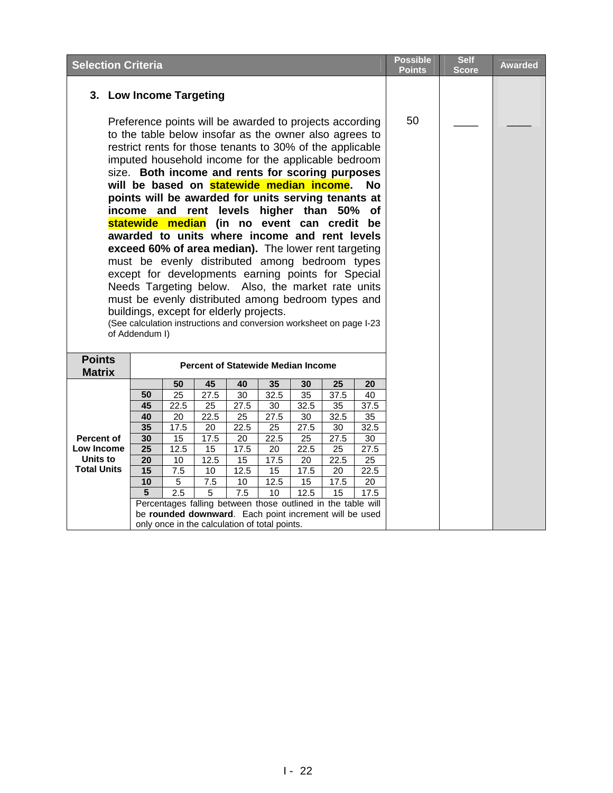| <b>Selection Criteria</b>      |                                                                                                                                                                                                                                                                                                                                                                                                                                                                                                                                                                                                                                                                                                                                                                                                                        |                                                                                                                |                     |                 |            | <b>Possible</b>                           | <b>Self</b> | <b>Awarded</b> |  |  |  |
|--------------------------------|------------------------------------------------------------------------------------------------------------------------------------------------------------------------------------------------------------------------------------------------------------------------------------------------------------------------------------------------------------------------------------------------------------------------------------------------------------------------------------------------------------------------------------------------------------------------------------------------------------------------------------------------------------------------------------------------------------------------------------------------------------------------------------------------------------------------|----------------------------------------------------------------------------------------------------------------|---------------------|-----------------|------------|-------------------------------------------|-------------|----------------|--|--|--|
| 3. Low Income Targeting        | Preference points will be awarded to projects according<br>to the table below insofar as the owner also agrees to<br>restrict rents for those tenants to 30% of the applicable<br>imputed household income for the applicable bedroom<br>size. Both income and rents for scoring purposes<br>will be based on statewide median income.<br>points will be awarded for units serving tenants at<br>income and rent levels higher than 50% of<br>statewide median (in no event can credit be<br>awarded to units where income and rent levels<br>exceed 60% of area median). The lower rent targeting<br>must be evenly distributed among bedroom types<br>except for developments earning points for Special<br>Needs Targeting below. Also, the market rate units<br>must be evenly distributed among bedroom types and | <b>No</b>                                                                                                      | <b>Points</b><br>50 | <b>Score</b>    |            |                                           |             |                |  |  |  |
|                                | of Addendum I)                                                                                                                                                                                                                                                                                                                                                                                                                                                                                                                                                                                                                                                                                                                                                                                                         | buildings, except for elderly projects.<br>(See calculation instructions and conversion worksheet on page I-23 |                     |                 |            |                                           |             |                |  |  |  |
| <b>Points</b><br><b>Matrix</b> |                                                                                                                                                                                                                                                                                                                                                                                                                                                                                                                                                                                                                                                                                                                                                                                                                        |                                                                                                                |                     |                 |            | <b>Percent of Statewide Median Income</b> |             |                |  |  |  |
|                                |                                                                                                                                                                                                                                                                                                                                                                                                                                                                                                                                                                                                                                                                                                                                                                                                                        | 50                                                                                                             | 45                  | 40              | 35         | 30                                        | 25          | 20             |  |  |  |
|                                | 50                                                                                                                                                                                                                                                                                                                                                                                                                                                                                                                                                                                                                                                                                                                                                                                                                     | $\overline{25}$                                                                                                | 27.5                | 30              | 32.5       | 35                                        | 37.5        | 40             |  |  |  |
|                                | 45                                                                                                                                                                                                                                                                                                                                                                                                                                                                                                                                                                                                                                                                                                                                                                                                                     | 22.5                                                                                                           | 25                  | 27.5            | 30         | 32.5                                      | 35          | 37.5           |  |  |  |
|                                | 40                                                                                                                                                                                                                                                                                                                                                                                                                                                                                                                                                                                                                                                                                                                                                                                                                     | $\overline{20}$                                                                                                | 22.5                | $\overline{25}$ | 27.5       | 30                                        | 32.5        | 35             |  |  |  |
|                                | 17.5<br>22.5<br>25<br>27.5<br>30<br>32.5<br>35<br>20                                                                                                                                                                                                                                                                                                                                                                                                                                                                                                                                                                                                                                                                                                                                                                   |                                                                                                                |                     |                 |            |                                           |             |                |  |  |  |
| <b>Percent of</b>              | 30                                                                                                                                                                                                                                                                                                                                                                                                                                                                                                                                                                                                                                                                                                                                                                                                                     | 15                                                                                                             | 17.5                | 20              | 22.5       | 25                                        | 27.5        | 30             |  |  |  |
| Low Income                     | 25<br>12.5<br>15<br>17.5<br>22.5<br>25<br>27.5<br>20                                                                                                                                                                                                                                                                                                                                                                                                                                                                                                                                                                                                                                                                                                                                                                   |                                                                                                                |                     |                 |            |                                           |             |                |  |  |  |
| Units to<br><b>Total Units</b> | 20                                                                                                                                                                                                                                                                                                                                                                                                                                                                                                                                                                                                                                                                                                                                                                                                                     | 10                                                                                                             | 12.5                | 15              | 17.5       | 20                                        | 22.5        | 25             |  |  |  |
|                                | 15                                                                                                                                                                                                                                                                                                                                                                                                                                                                                                                                                                                                                                                                                                                                                                                                                     | 7.5                                                                                                            | 10                  | 12.5            | 15         | 17.5                                      | 20          | 22.5           |  |  |  |
|                                | 10<br>5                                                                                                                                                                                                                                                                                                                                                                                                                                                                                                                                                                                                                                                                                                                                                                                                                | 5<br>2.5                                                                                                       | 7.5<br>5            | 10<br>7.5       | 12.5<br>10 | 15<br>12.5                                | 17.5        | 20<br>17.5     |  |  |  |
|                                |                                                                                                                                                                                                                                                                                                                                                                                                                                                                                                                                                                                                                                                                                                                                                                                                                        | Percentages falling between those outlined in the table will                                                   |                     |                 |            |                                           | 15          |                |  |  |  |
|                                |                                                                                                                                                                                                                                                                                                                                                                                                                                                                                                                                                                                                                                                                                                                                                                                                                        | be rounded downward. Each point increment will be used                                                         |                     |                 |            |                                           |             |                |  |  |  |
|                                |                                                                                                                                                                                                                                                                                                                                                                                                                                                                                                                                                                                                                                                                                                                                                                                                                        | only once in the calculation of total points.                                                                  |                     |                 |            |                                           |             |                |  |  |  |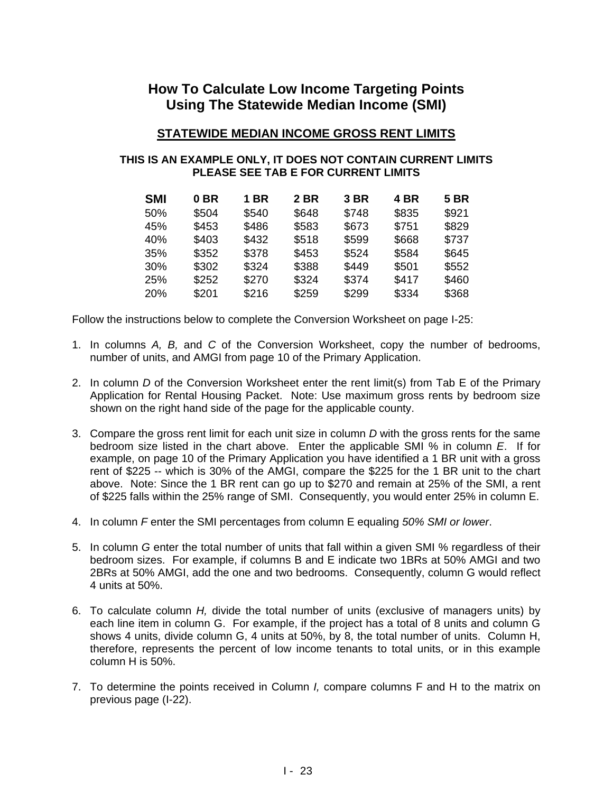## **How To Calculate Low Income Targeting Points Using The Statewide Median Income (SMI)**

### **STATEWIDE MEDIAN INCOME GROSS RENT LIMITS**

### **THIS IS AN EXAMPLE ONLY, IT DOES NOT CONTAIN CURRENT LIMITS PLEASE SEE TAB E FOR CURRENT LIMITS**

| <b>SMI</b> | 0 <sub>BR</sub> | 1 BR  | 2 BR  | 3 BR  | 4 BR  | <b>5 BR</b> |
|------------|-----------------|-------|-------|-------|-------|-------------|
| 50%        | \$504           | \$540 | \$648 | \$748 | \$835 | \$921       |
| 45%        | \$453           | \$486 | \$583 | \$673 | \$751 | \$829       |
| 40%        | \$403           | \$432 | \$518 | \$599 | \$668 | \$737       |
| 35%        | \$352           | \$378 | \$453 | \$524 | \$584 | \$645       |
| 30%        | \$302           | \$324 | \$388 | \$449 | \$501 | \$552       |
| 25%        | \$252           | \$270 | \$324 | \$374 | \$417 | \$460       |
| 20%        | \$201           | \$216 | \$259 | \$299 | \$334 | \$368       |

Follow the instructions below to complete the Conversion Worksheet on page I-25:

- 1. In columns *A, B,* and *C* of the Conversion Worksheet, copy the number of bedrooms, number of units, and AMGI from page 10 of the Primary Application.
- 2. In column *D* of the Conversion Worksheet enter the rent limit(s) from Tab E of the Primary Application for Rental Housing Packet. Note: Use maximum gross rents by bedroom size shown on the right hand side of the page for the applicable county.
- 3. Compare the gross rent limit for each unit size in column *D* with the gross rents for the same bedroom size listed in the chart above. Enter the applicable SMI % in column *E*. If for example, on page 10 of the Primary Application you have identified a 1 BR unit with a gross rent of \$225 -- which is 30% of the AMGI, compare the \$225 for the 1 BR unit to the chart above. Note: Since the 1 BR rent can go up to \$270 and remain at 25% of the SMI, a rent of \$225 falls within the 25% range of SMI. Consequently, you would enter 25% in column E.
- 4. In column *F* enter the SMI percentages from column E equaling *50% SMI or lower*.
- 5. In column *G* enter the total number of units that fall within a given SMI % regardless of their bedroom sizes. For example, if columns B and E indicate two 1BRs at 50% AMGI and two 2BRs at 50% AMGI, add the one and two bedrooms. Consequently, column G would reflect 4 units at 50%.
- 6. To calculate column *H,* divide the total number of units (exclusive of managers units) by each line item in column G. For example, if the project has a total of 8 units and column G shows 4 units, divide column G, 4 units at 50%, by 8, the total number of units. Column H, therefore, represents the percent of low income tenants to total units, or in this example column H is 50%.
- 7. To determine the points received in Column *I,* compare columns F and H to the matrix on previous page (I-22).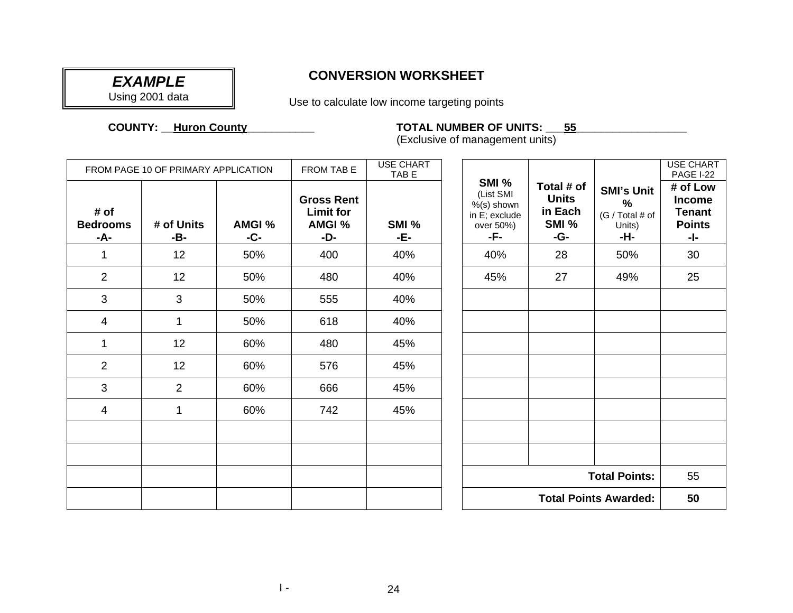# *EXAMPLE*

Using 2001 data

## **CONVERSION WORKSHEET**

Use to calculate low income targeting points

### **COUNTY: \_\_**

### **HUROOF COUNDER OF UNITS: \_\_\_\_ 55\_\_**

(Exclusive of management units)

|                                | FROM PAGE 10 OF PRIMARY APPLICATION |                 | FROM TAB E                                             | <b>USE CHART</b><br>TAB E |                                                                          |                                                       |                                                                        | <b>USE CHART</b><br><b>PAGE I-22</b>                               |
|--------------------------------|-------------------------------------|-----------------|--------------------------------------------------------|---------------------------|--------------------------------------------------------------------------|-------------------------------------------------------|------------------------------------------------------------------------|--------------------------------------------------------------------|
| # of<br><b>Bedrooms</b><br>-A- | # of Units<br>-B-                   | AMGI %<br>$-C-$ | <b>Gross Rent</b><br><b>Limit for</b><br>AMGI %<br>-D- | SMI %<br>-E-              | SMI %<br>(List SMI<br>$%$ (s) shown<br>in E; exclude<br>over 50%)<br>-F- | Total # of<br><b>Units</b><br>in Each<br>SMI %<br>-G- | <b>SMI's Unit</b><br>$\frac{9}{6}$<br>(G / Total # of<br>Units)<br>-H- | # of Low<br><b>Income</b><br><b>Tenant</b><br><b>Points</b><br>-1- |
| $\mathbf 1$                    | 12                                  | 50%             | 400                                                    | 40%                       | 40%                                                                      | 28                                                    | 50%                                                                    | 30                                                                 |
| $\overline{2}$                 | 12                                  | 50%             | 480                                                    | 40%                       | 45%                                                                      | 27                                                    | 49%                                                                    | 25                                                                 |
| 3                              | 3                                   | 50%             | 555                                                    | 40%                       |                                                                          |                                                       |                                                                        |                                                                    |
| 4                              | $\mathbf{1}$                        | 50%             | 618                                                    | 40%                       |                                                                          |                                                       |                                                                        |                                                                    |
| $\mathbf{1}$                   | 12                                  | 60%             | 480                                                    | 45%                       |                                                                          |                                                       |                                                                        |                                                                    |
| $\overline{2}$                 | 12                                  | 60%             | 576                                                    | 45%                       |                                                                          |                                                       |                                                                        |                                                                    |
| 3                              | 2                                   | 60%             | 666                                                    | 45%                       |                                                                          |                                                       |                                                                        |                                                                    |
| 4                              | 1                                   | 60%             | 742                                                    | 45%                       |                                                                          |                                                       |                                                                        |                                                                    |
|                                |                                     |                 |                                                        |                           |                                                                          |                                                       |                                                                        |                                                                    |
|                                |                                     |                 |                                                        |                           |                                                                          |                                                       |                                                                        |                                                                    |
|                                |                                     |                 |                                                        |                           |                                                                          |                                                       | <b>Total Points:</b>                                                   | 55                                                                 |
|                                |                                     |                 |                                                        |                           | <b>Total Points Awarded:</b>                                             |                                                       |                                                                        | 50                                                                 |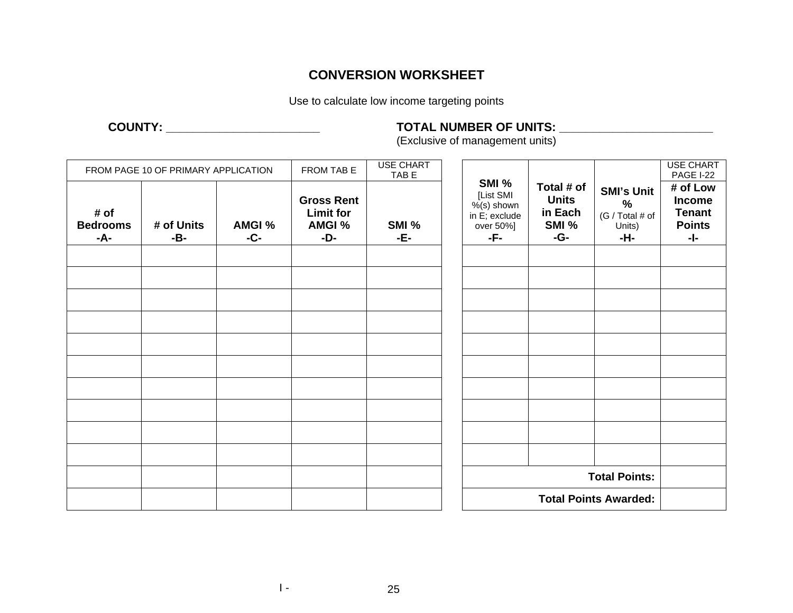### **CONVERSION WORKSHEET**

Use to calculate low income targeting points

## **COUNTY: \_\_\_\_\_\_\_\_\_\_\_\_\_\_\_\_\_\_\_\_\_\_\_ TOTAL NUMBER OF UNITS: \_\_\_\_\_\_\_\_\_\_\_\_\_\_\_\_\_\_\_\_\_\_\_**

(Exclusive of management units)

|                                | FROM PAGE 10 OF PRIMARY APPLICATION |                 | FROM TAB E                                                    | <b>USE CHART</b><br>TAB E |                                                                          |                                                       |                                                                        | <b>USE CHART</b><br>PAGE I-22                                      |  |
|--------------------------------|-------------------------------------|-----------------|---------------------------------------------------------------|---------------------------|--------------------------------------------------------------------------|-------------------------------------------------------|------------------------------------------------------------------------|--------------------------------------------------------------------|--|
| # of<br><b>Bedrooms</b><br>-A- | # of Units<br>-B-                   | AMGI %<br>$-C-$ | <b>Gross Rent</b><br><b>Limit for</b><br><b>AMGI %</b><br>-D- | SMI %<br>-E-              | SMI %<br>[List SMI<br>$%$ (s) shown<br>in E; exclude<br>over 50%]<br>-F- | Total # of<br><b>Units</b><br>in Each<br>SMI %<br>-G- | <b>SMI's Unit</b><br>$\frac{0}{0}$<br>(G / Total # of<br>Units)<br>-H- | # of Low<br><b>Income</b><br><b>Tenant</b><br><b>Points</b><br>-1- |  |
|                                |                                     |                 |                                                               |                           |                                                                          |                                                       |                                                                        |                                                                    |  |
|                                |                                     |                 |                                                               |                           |                                                                          |                                                       |                                                                        |                                                                    |  |
|                                |                                     |                 |                                                               |                           |                                                                          |                                                       |                                                                        |                                                                    |  |
|                                |                                     |                 |                                                               |                           |                                                                          |                                                       |                                                                        |                                                                    |  |
|                                |                                     |                 |                                                               |                           |                                                                          |                                                       |                                                                        |                                                                    |  |
|                                |                                     |                 |                                                               |                           |                                                                          |                                                       |                                                                        |                                                                    |  |
|                                |                                     |                 |                                                               |                           |                                                                          |                                                       |                                                                        |                                                                    |  |
|                                |                                     |                 |                                                               |                           |                                                                          |                                                       |                                                                        |                                                                    |  |
|                                |                                     |                 |                                                               |                           |                                                                          |                                                       |                                                                        |                                                                    |  |
|                                |                                     |                 |                                                               |                           |                                                                          |                                                       |                                                                        |                                                                    |  |
|                                |                                     |                 |                                                               |                           |                                                                          |                                                       | <b>Total Points:</b>                                                   |                                                                    |  |
|                                |                                     |                 |                                                               |                           |                                                                          | <b>Total Points Awarded:</b>                          |                                                                        |                                                                    |  |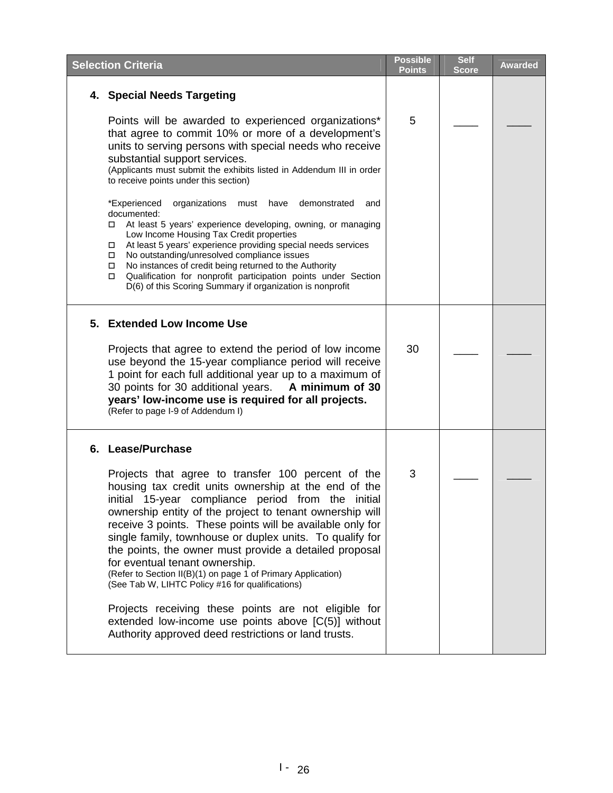|    | <b>Selection Criteria</b>                                                                                                                                                                                                                                                                                                                                                                                                                                                                                                                                             | <b>Possible</b><br><b>Points</b> | <b>Self</b><br><b>Score</b> | Awarded |
|----|-----------------------------------------------------------------------------------------------------------------------------------------------------------------------------------------------------------------------------------------------------------------------------------------------------------------------------------------------------------------------------------------------------------------------------------------------------------------------------------------------------------------------------------------------------------------------|----------------------------------|-----------------------------|---------|
|    | 4. Special Needs Targeting                                                                                                                                                                                                                                                                                                                                                                                                                                                                                                                                            |                                  |                             |         |
|    | Points will be awarded to experienced organizations*<br>that agree to commit 10% or more of a development's<br>units to serving persons with special needs who receive<br>substantial support services.<br>(Applicants must submit the exhibits listed in Addendum III in order<br>to receive points under this section)                                                                                                                                                                                                                                              | 5                                |                             |         |
|    | *Experienced<br>organizations<br>must have<br>demonstrated<br>and<br>documented:<br>At least 5 years' experience developing, owning, or managing<br>□<br>Low Income Housing Tax Credit properties<br>At least 5 years' experience providing special needs services<br>No outstanding/unresolved compliance issues<br>$\Box$<br>No instances of credit being returned to the Authority<br>$\Box$<br>Qualification for nonprofit participation points under Section<br>□<br>D(6) of this Scoring Summary if organization is nonprofit                                   |                                  |                             |         |
|    | 5. Extended Low Income Use                                                                                                                                                                                                                                                                                                                                                                                                                                                                                                                                            |                                  |                             |         |
|    | Projects that agree to extend the period of low income<br>use beyond the 15-year compliance period will receive<br>1 point for each full additional year up to a maximum of<br>30 points for 30 additional years.<br>A minimum of 30<br>years' low-income use is required for all projects.<br>(Refer to page I-9 of Addendum I)                                                                                                                                                                                                                                      | 30                               |                             |         |
| 6. | <b>Lease/Purchase</b>                                                                                                                                                                                                                                                                                                                                                                                                                                                                                                                                                 |                                  |                             |         |
|    | Projects that agree to transfer 100 percent of the<br>housing tax credit units ownership at the end of the<br>initial 15-year compliance period from the initial<br>ownership entity of the project to tenant ownership will<br>receive 3 points. These points will be available only for<br>single family, townhouse or duplex units. To qualify for<br>the points, the owner must provide a detailed proposal<br>for eventual tenant ownership.<br>(Refer to Section II(B)(1) on page 1 of Primary Application)<br>(See Tab W, LIHTC Policy #16 for qualifications) | 3                                |                             |         |
|    | Projects receiving these points are not eligible for<br>extended low-income use points above [C(5)] without<br>Authority approved deed restrictions or land trusts.                                                                                                                                                                                                                                                                                                                                                                                                   |                                  |                             |         |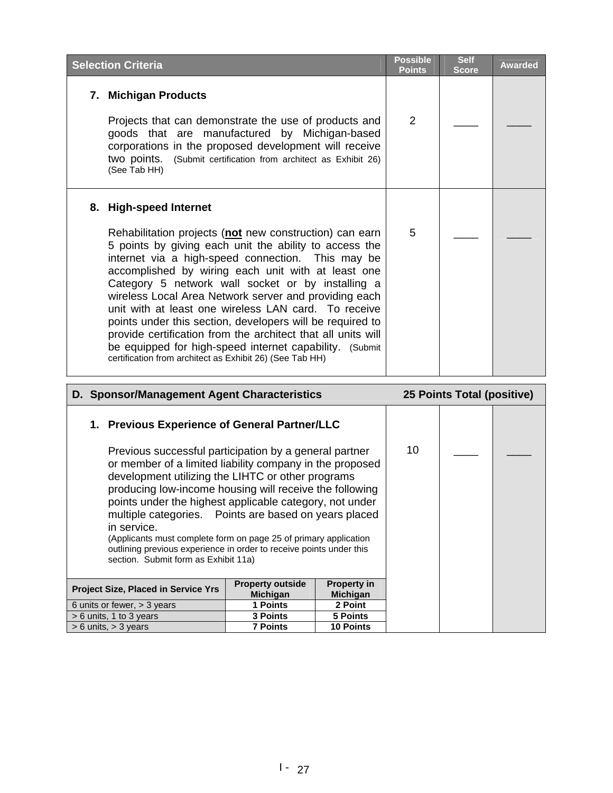| <b>Selection Criteria</b>                                                                                                                                                                                                                                                                                                                                                                                                                                                                                                                                                                                                                                                        | <b>Possible</b><br><b>Points</b> | <b>Self</b><br><b>Score</b> | <b>Awarded</b> |
|----------------------------------------------------------------------------------------------------------------------------------------------------------------------------------------------------------------------------------------------------------------------------------------------------------------------------------------------------------------------------------------------------------------------------------------------------------------------------------------------------------------------------------------------------------------------------------------------------------------------------------------------------------------------------------|----------------------------------|-----------------------------|----------------|
| 7. Michigan Products<br>Projects that can demonstrate the use of products and<br>goods that are manufactured by Michigan-based<br>corporations in the proposed development will receive<br>two points. (Submit certification from architect as Exhibit 26)<br>(See Tab HH)                                                                                                                                                                                                                                                                                                                                                                                                       | 2                                |                             |                |
| 8. High-speed Internet<br>Rehabilitation projects (not new construction) can earn<br>5 points by giving each unit the ability to access the<br>internet via a high-speed connection. This may be<br>accomplished by wiring each unit with at least one<br>Category 5 network wall socket or by installing a<br>wireless Local Area Network server and providing each<br>unit with at least one wireless LAN card. To receive<br>points under this section, developers will be required to<br>provide certification from the architect that all units will<br>be equipped for high-speed internet capability. (Submit<br>certification from architect as Exhibit 26) (See Tab HH) | 5                                |                             |                |
| D. Sponsor/Management Agent Characteristics                                                                                                                                                                                                                                                                                                                                                                                                                                                                                                                                                                                                                                      |                                  | 25 Points Total (positive)  |                |
|                                                                                                                                                                                                                                                                                                                                                                                                                                                                                                                                                                                                                                                                                  |                                  |                             |                |

| 1. Previous Experience of General Partner/LLC                                                                                                                                                                                                                                                                                                                                                                                                                                                                                                            |                 |                  |    |  |
|----------------------------------------------------------------------------------------------------------------------------------------------------------------------------------------------------------------------------------------------------------------------------------------------------------------------------------------------------------------------------------------------------------------------------------------------------------------------------------------------------------------------------------------------------------|-----------------|------------------|----|--|
| Previous successful participation by a general partner<br>or member of a limited liability company in the proposed<br>development utilizing the LIHTC or other programs<br>producing low-income housing will receive the following<br>points under the highest applicable category, not under<br>multiple categories. Points are based on years placed<br>in service.<br>(Applicants must complete form on page 25 of primary application<br>outlining previous experience in order to receive points under this<br>section. Submit form as Exhibit 11a) |                 |                  | 10 |  |
| <b>Property in</b><br><b>Property outside</b><br><b>Project Size, Placed in Service Yrs</b><br><b>Michigan</b><br><b>Michigan</b>                                                                                                                                                                                                                                                                                                                                                                                                                        |                 |                  |    |  |
| 6 units or fewer, $>$ 3 years                                                                                                                                                                                                                                                                                                                                                                                                                                                                                                                            | 1 Points        | 2 Point          |    |  |
| $> 6$ units, 1 to 3 years                                                                                                                                                                                                                                                                                                                                                                                                                                                                                                                                | <b>3 Points</b> | 5 Points         |    |  |
| $> 6$ units, $> 3$ years                                                                                                                                                                                                                                                                                                                                                                                                                                                                                                                                 | <b>7 Points</b> | <b>10 Points</b> |    |  |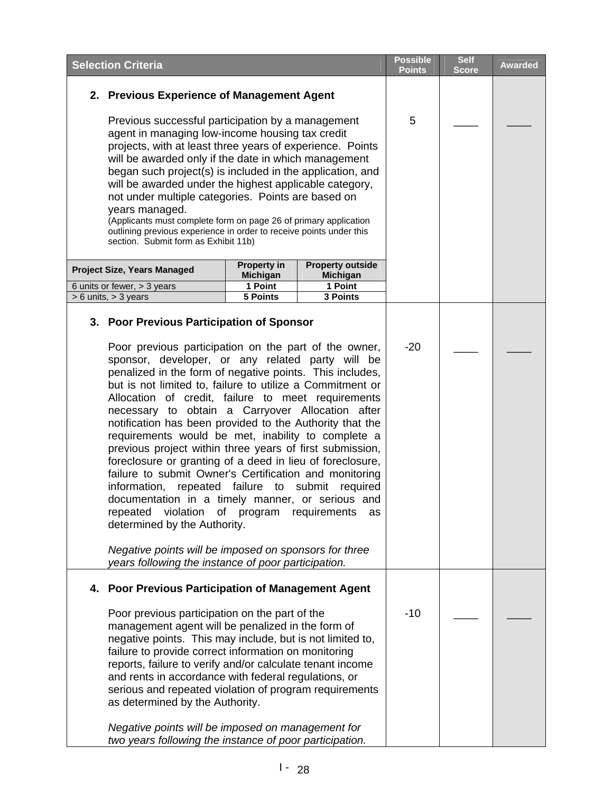| <b>Selection Criteria</b>                                                                                                                                                                                                                                                                                                                                                                                                                                                                                                                                                                                                                                                                                                                                                                                                                                                                                                                                                                                                                                                  |                                       |                                            | <b>Possible</b><br><b>Points</b> | <b>Self</b><br><b>Score</b> | <b>Awarded</b> |
|----------------------------------------------------------------------------------------------------------------------------------------------------------------------------------------------------------------------------------------------------------------------------------------------------------------------------------------------------------------------------------------------------------------------------------------------------------------------------------------------------------------------------------------------------------------------------------------------------------------------------------------------------------------------------------------------------------------------------------------------------------------------------------------------------------------------------------------------------------------------------------------------------------------------------------------------------------------------------------------------------------------------------------------------------------------------------|---------------------------------------|--------------------------------------------|----------------------------------|-----------------------------|----------------|
| 2. Previous Experience of Management Agent                                                                                                                                                                                                                                                                                                                                                                                                                                                                                                                                                                                                                                                                                                                                                                                                                                                                                                                                                                                                                                 |                                       |                                            |                                  |                             |                |
| Previous successful participation by a management<br>agent in managing low-income housing tax credit<br>projects, with at least three years of experience. Points<br>will be awarded only if the date in which management<br>began such project(s) is included in the application, and<br>will be awarded under the highest applicable category,<br>not under multiple categories. Points are based on<br>years managed.<br>(Applicants must complete form on page 26 of primary application<br>outlining previous experience in order to receive points under this<br>section. Submit form as Exhibit 11b)                                                                                                                                                                                                                                                                                                                                                                                                                                                                |                                       | 5                                          |                                  |                             |                |
| Project Size, Years Managed                                                                                                                                                                                                                                                                                                                                                                                                                                                                                                                                                                                                                                                                                                                                                                                                                                                                                                                                                                                                                                                | <b>Property in</b><br><b>Michigan</b> | <b>Property outside</b><br><b>Michigan</b> |                                  |                             |                |
| 6 units or fewer, > 3 years                                                                                                                                                                                                                                                                                                                                                                                                                                                                                                                                                                                                                                                                                                                                                                                                                                                                                                                                                                                                                                                | 1 Point                               | 1 Point                                    |                                  |                             |                |
| 3 Points<br>$> 6$ units, $> 3$ years<br>5 Points<br>3. Poor Previous Participation of Sponsor<br>Poor previous participation on the part of the owner,<br>sponsor, developer, or any related party will be<br>penalized in the form of negative points. This includes,<br>but is not limited to, failure to utilize a Commitment or<br>Allocation of credit, failure to meet requirements<br>necessary to obtain a Carryover Allocation after<br>notification has been provided to the Authority that the<br>requirements would be met, inability to complete a<br>previous project within three years of first submission,<br>foreclosure or granting of a deed in lieu of foreclosure,<br>failure to submit Owner's Certification and monitoring<br>information, repeated failure to submit<br>required<br>documentation in a timely manner, or serious and<br>violation<br>repeated<br>requirements<br>of program<br>as<br>determined by the Authority.<br>Negative points will be imposed on sponsors for three<br>years following the instance of poor participation. |                                       | $-20$                                      |                                  |                             |                |
| 4. Poor Previous Participation of Management Agent<br>Poor previous participation on the part of the<br>management agent will be penalized in the form of<br>negative points. This may include, but is not limited to,<br>failure to provide correct information on monitoring<br>reports, failure to verify and/or calculate tenant income<br>and rents in accordance with federal regulations, or<br>serious and repeated violation of program requirements<br>as determined by the Authority.<br>Negative points will be imposed on management for<br>two years following the instance of poor participation.                                                                                                                                                                                                                                                                                                                                                                                                                                                           |                                       |                                            | $-10$                            |                             |                |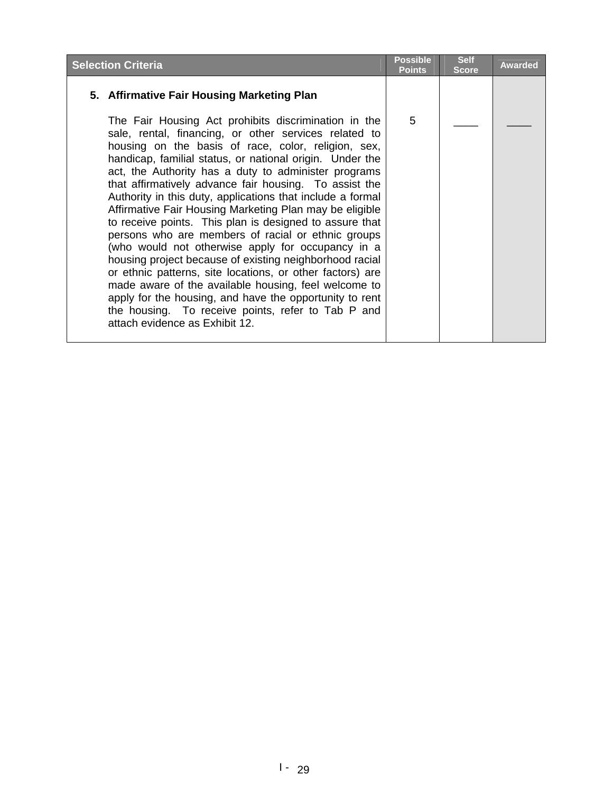| <b>Selection Criteria</b>                                                                                                                                                                                                                                                                                                                                                                                                                                                                                                                                                                                                                                                                                                                                                                                                                                                                                                                                                            | <b>Possible</b><br><b>Points</b> | <b>Self</b><br><b>Score</b> | <b>Awarded</b> |
|--------------------------------------------------------------------------------------------------------------------------------------------------------------------------------------------------------------------------------------------------------------------------------------------------------------------------------------------------------------------------------------------------------------------------------------------------------------------------------------------------------------------------------------------------------------------------------------------------------------------------------------------------------------------------------------------------------------------------------------------------------------------------------------------------------------------------------------------------------------------------------------------------------------------------------------------------------------------------------------|----------------------------------|-----------------------------|----------------|
| 5. Affirmative Fair Housing Marketing Plan                                                                                                                                                                                                                                                                                                                                                                                                                                                                                                                                                                                                                                                                                                                                                                                                                                                                                                                                           |                                  |                             |                |
| The Fair Housing Act prohibits discrimination in the<br>sale, rental, financing, or other services related to<br>housing on the basis of race, color, religion, sex,<br>handicap, familial status, or national origin. Under the<br>act, the Authority has a duty to administer programs<br>that affirmatively advance fair housing. To assist the<br>Authority in this duty, applications that include a formal<br>Affirmative Fair Housing Marketing Plan may be eligible<br>to receive points. This plan is designed to assure that<br>persons who are members of racial or ethnic groups<br>(who would not otherwise apply for occupancy in a<br>housing project because of existing neighborhood racial<br>or ethnic patterns, site locations, or other factors) are<br>made aware of the available housing, feel welcome to<br>apply for the housing, and have the opportunity to rent<br>the housing. To receive points, refer to Tab P and<br>attach evidence as Exhibit 12. | 5                                |                             |                |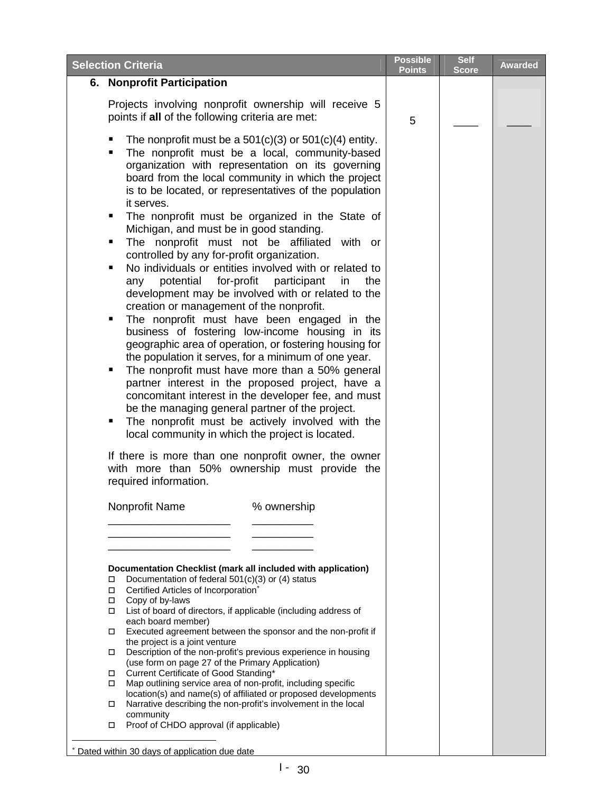<span id="page-14-0"></span>

| <b>Selection Criteria</b>                                                                                                                                                                                                                                                                                                                                                                                                                                                                                                                                                                                                                                                                                                                                                                                                                                                                                                                                                                                                                                                                                                                                                                                                                                                                                                                                                                                                           | <b>Possible</b><br>Points | <b>Self</b><br><b>Score</b> | <b>Awarded</b> |
|-------------------------------------------------------------------------------------------------------------------------------------------------------------------------------------------------------------------------------------------------------------------------------------------------------------------------------------------------------------------------------------------------------------------------------------------------------------------------------------------------------------------------------------------------------------------------------------------------------------------------------------------------------------------------------------------------------------------------------------------------------------------------------------------------------------------------------------------------------------------------------------------------------------------------------------------------------------------------------------------------------------------------------------------------------------------------------------------------------------------------------------------------------------------------------------------------------------------------------------------------------------------------------------------------------------------------------------------------------------------------------------------------------------------------------------|---------------------------|-----------------------------|----------------|
| 6. Nonprofit Participation                                                                                                                                                                                                                                                                                                                                                                                                                                                                                                                                                                                                                                                                                                                                                                                                                                                                                                                                                                                                                                                                                                                                                                                                                                                                                                                                                                                                          |                           |                             |                |
| Projects involving nonprofit ownership will receive 5<br>points if all of the following criteria are met:                                                                                                                                                                                                                                                                                                                                                                                                                                                                                                                                                                                                                                                                                                                                                                                                                                                                                                                                                                                                                                                                                                                                                                                                                                                                                                                           | 5                         |                             |                |
| The nonprofit must be a $501(c)(3)$ or $501(c)(4)$ entity.<br>The nonprofit must be a local, community-based<br>organization with representation on its governing<br>board from the local community in which the project<br>is to be located, or representatives of the population<br>it serves.<br>The nonprofit must be organized in the State of<br>٠<br>Michigan, and must be in good standing.<br>The nonprofit must not be affiliated with or<br>٠<br>controlled by any for-profit organization.<br>No individuals or entities involved with or related to<br>٠<br>potential<br>for-profit<br>participant<br>the<br>in<br>any<br>development may be involved with or related to the<br>creation or management of the nonprofit.<br>The nonprofit must have been engaged in the<br>п<br>business of fostering low-income housing in its<br>geographic area of operation, or fostering housing for<br>the population it serves, for a minimum of one year.<br>The nonprofit must have more than a 50% general<br>٠<br>partner interest in the proposed project, have a<br>concomitant interest in the developer fee, and must<br>be the managing general partner of the project.<br>The nonprofit must be actively involved with the<br>٠<br>local community in which the project is located.<br>If there is more than one nonprofit owner, the owner<br>with more than 50% ownership must provide the<br>required information. |                           |                             |                |
| Nonprofit Name<br>% ownership                                                                                                                                                                                                                                                                                                                                                                                                                                                                                                                                                                                                                                                                                                                                                                                                                                                                                                                                                                                                                                                                                                                                                                                                                                                                                                                                                                                                       |                           |                             |                |
|                                                                                                                                                                                                                                                                                                                                                                                                                                                                                                                                                                                                                                                                                                                                                                                                                                                                                                                                                                                                                                                                                                                                                                                                                                                                                                                                                                                                                                     |                           |                             |                |
| Documentation Checklist (mark all included with application)<br>Documentation of federal $501(c)(3)$ or (4) status<br>□<br>Certified Articles of Incorporation*<br>□<br>Copy of by-laws<br>□<br>List of board of directors, if applicable (including address of<br>□<br>each board member)<br>Executed agreement between the sponsor and the non-profit if<br>□<br>the project is a joint venture<br>Description of the non-profit's previous experience in housing<br>$\Box$<br>(use form on page 27 of the Primary Application)<br>Current Certificate of Good Standing*<br>$\Box$<br>Map outlining service area of non-profit, including specific<br>□<br>location(s) and name(s) of affiliated or proposed developments<br>Narrative describing the non-profit's involvement in the local<br>□<br>community<br>Proof of CHDO approval (if applicable)<br>$\Box$<br>* Dated within 30 days of application due date                                                                                                                                                                                                                                                                                                                                                                                                                                                                                                               |                           |                             |                |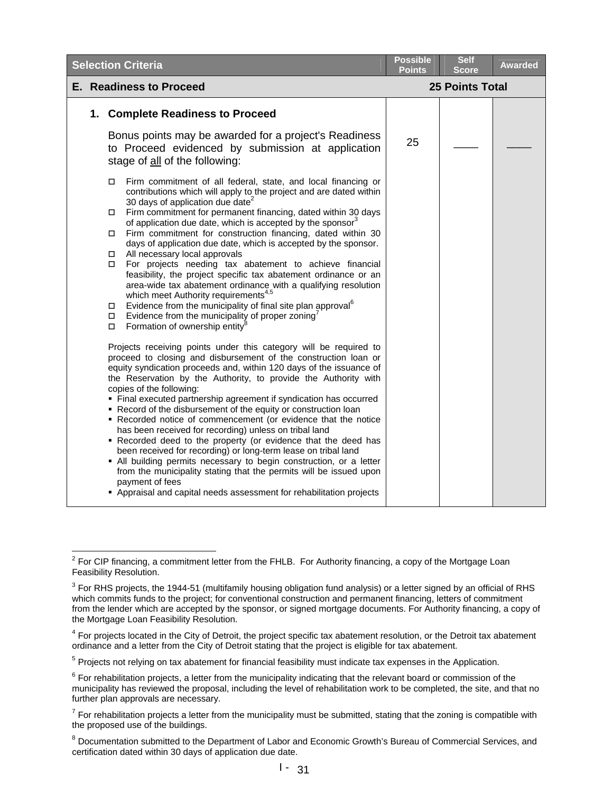| <b>Selection Criteria</b>                                                                                                                                                                                                                                                                                                                                                                                                                                                                                                                                                                                                                                                                                                                                                                                                                                                                                                                                                                                                                                                                                                                                                                                                                                                                                                                                                                                                                                                                                                                                                                                                                                                                                                                                                                                                                                                                                                               | <b>Points</b> | Score                  | <b>Awarded</b> |
|-----------------------------------------------------------------------------------------------------------------------------------------------------------------------------------------------------------------------------------------------------------------------------------------------------------------------------------------------------------------------------------------------------------------------------------------------------------------------------------------------------------------------------------------------------------------------------------------------------------------------------------------------------------------------------------------------------------------------------------------------------------------------------------------------------------------------------------------------------------------------------------------------------------------------------------------------------------------------------------------------------------------------------------------------------------------------------------------------------------------------------------------------------------------------------------------------------------------------------------------------------------------------------------------------------------------------------------------------------------------------------------------------------------------------------------------------------------------------------------------------------------------------------------------------------------------------------------------------------------------------------------------------------------------------------------------------------------------------------------------------------------------------------------------------------------------------------------------------------------------------------------------------------------------------------------------|---------------|------------------------|----------------|
| E. Readiness to Proceed                                                                                                                                                                                                                                                                                                                                                                                                                                                                                                                                                                                                                                                                                                                                                                                                                                                                                                                                                                                                                                                                                                                                                                                                                                                                                                                                                                                                                                                                                                                                                                                                                                                                                                                                                                                                                                                                                                                 |               | <b>25 Points Total</b> |                |
| 1. Complete Readiness to Proceed                                                                                                                                                                                                                                                                                                                                                                                                                                                                                                                                                                                                                                                                                                                                                                                                                                                                                                                                                                                                                                                                                                                                                                                                                                                                                                                                                                                                                                                                                                                                                                                                                                                                                                                                                                                                                                                                                                        |               |                        |                |
| Bonus points may be awarded for a project's Readiness<br>to Proceed evidenced by submission at application<br>stage of all of the following:                                                                                                                                                                                                                                                                                                                                                                                                                                                                                                                                                                                                                                                                                                                                                                                                                                                                                                                                                                                                                                                                                                                                                                                                                                                                                                                                                                                                                                                                                                                                                                                                                                                                                                                                                                                            | 25            |                        |                |
| Firm commitment of all federal, state, and local financing or<br>□<br>contributions which will apply to the project and are dated within<br>30 days of application due date <sup>2</sup><br>Firm commitment for permanent financing, dated within 30 days<br>$\Box$<br>of application due date, which is accepted by the sponsor <sup>3</sup><br>Firm commitment for construction financing, dated within 30<br>days of application due date, which is accepted by the sponsor.<br>All necessary local approvals<br>For projects needing tax abatement to achieve financial<br>□<br>feasibility, the project specific tax abatement ordinance or an<br>area-wide tax abatement ordinance with a qualifying resolution<br>which meet Authority requirements <sup>4,5</sup><br>Evidence from the municipality of final site plan approval <sup>6</sup><br>$\Box$<br>Evidence from the municipality of proper zoning'<br>□<br>Formation of ownership entity <sup>8</sup><br>□<br>Projects receiving points under this category will be required to<br>proceed to closing and disbursement of the construction loan or<br>equity syndication proceeds and, within 120 days of the issuance of<br>the Reservation by the Authority, to provide the Authority with<br>copies of the following:<br>• Final executed partnership agreement if syndication has occurred<br>• Record of the disbursement of the equity or construction loan<br>Recorded notice of commencement (or evidence that the notice<br>has been received for recording) unless on tribal land<br>. Recorded deed to the property (or evidence that the deed has<br>been received for recording) or long-term lease on tribal land<br>• All building permits necessary to begin construction, or a letter<br>from the municipality stating that the permits will be issued upon<br>payment of fees<br>• Appraisal and capital needs assessment for rehabilitation projects |               |                        |                |

<span id="page-15-0"></span><sup>&</sup>lt;u>2</u><br><sup>2</sup> For CIP financing, a commitment letter from the FHLB. For Authority financing, a copy of the Mortgage Loan Feasibility Resolution.

<span id="page-15-1"></span> $^3$  For RHS projects, the 1944-51 (multifamily housing obligation fund analysis) or a letter signed by an official of RHS which commits funds to the project; for conventional construction and permanent financing, letters of commitment from the lender which are accepted by the sponsor, or signed mortgage documents. For Authority financing, a copy of the Mortgage Loan Feasibility Resolution.

<span id="page-15-2"></span><sup>&</sup>lt;sup>4</sup> For projects located in the City of Detroit, the project specific tax abatement resolution, or the Detroit tax abatement ordinance and a letter from the City of Detroit stating that the project is eligible for tax abatement.

<span id="page-15-3"></span><sup>&</sup>lt;sup>5</sup> Projects not relying on tax abatement for financial feasibility must indicate tax expenses in the Application.

<span id="page-15-4"></span> $^6$  For rehabilitation projects, a letter from the municipality indicating that the relevant board or commission of the municipality has reviewed the proposal, including the level of rehabilitation work to be completed, the site, and that no further plan approvals are necessary.

<span id="page-15-5"></span> $^7$  For rehabilitation projects a letter from the municipality must be submitted, stating that the zoning is compatible with the proposed use of the buildings.

<span id="page-15-6"></span><sup>&</sup>lt;sup>8</sup> Documentation submitted to the Department of Labor and Economic Growth's Bureau of Commercial Services, and certification dated within 30 days of application due date.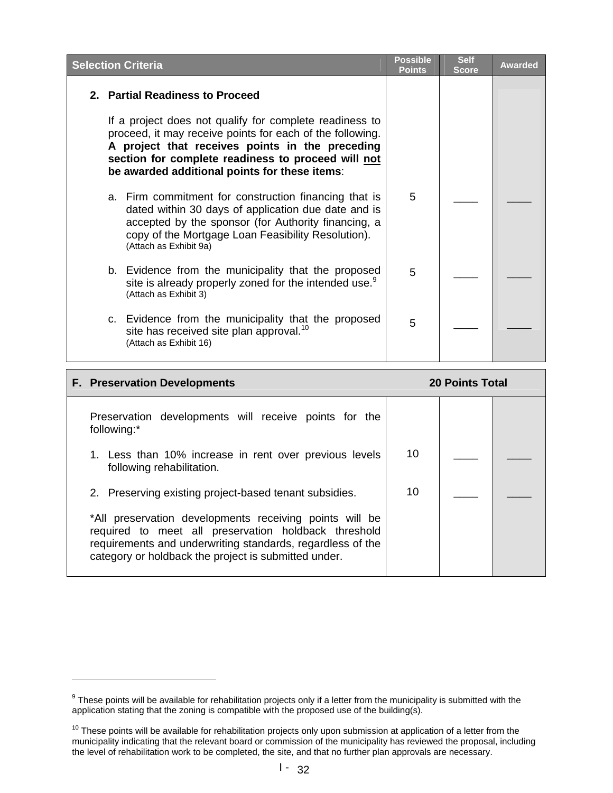|  | <b>Selection Criteria</b>                                                                                                                                                                                                                                                      | <b>Possible</b><br><b>Points</b> | <b>Self</b><br><b>Score</b> | <b>Awarded</b> |
|--|--------------------------------------------------------------------------------------------------------------------------------------------------------------------------------------------------------------------------------------------------------------------------------|----------------------------------|-----------------------------|----------------|
|  | 2. Partial Readiness to Proceed                                                                                                                                                                                                                                                |                                  |                             |                |
|  | If a project does not qualify for complete readiness to<br>proceed, it may receive points for each of the following.<br>A project that receives points in the preceding<br>section for complete readiness to proceed will not<br>be awarded additional points for these items: |                                  |                             |                |
|  | a. Firm commitment for construction financing that is<br>dated within 30 days of application due date and is<br>accepted by the sponsor (for Authority financing, a<br>copy of the Mortgage Loan Feasibility Resolution).<br>(Attach as Exhibit 9a)                            | 5                                |                             |                |
|  | b. Evidence from the municipality that the proposed<br>site is already properly zoned for the intended use. <sup>9</sup><br>(Attach as Exhibit 3)                                                                                                                              | 5                                |                             |                |
|  | c. Evidence from the municipality that the proposed<br>site has received site plan approval. <sup>10</sup><br>(Attach as Exhibit 16)                                                                                                                                           | 5                                |                             |                |

| <b>F. Preservation Developments</b>                                                                                                                                                                                                   | <b>20 Points Total</b> |  |  |
|---------------------------------------------------------------------------------------------------------------------------------------------------------------------------------------------------------------------------------------|------------------------|--|--|
| Preservation developments will receive points for the<br>following:*                                                                                                                                                                  |                        |  |  |
| 1. Less than 10% increase in rent over previous levels<br>following rehabilitation.                                                                                                                                                   | 10                     |  |  |
| 2. Preserving existing project-based tenant subsidies.                                                                                                                                                                                | 10                     |  |  |
| *All preservation developments receiving points will be<br>required to meet all preservation holdback threshold<br>requirements and underwriting standards, regardless of the<br>category or holdback the project is submitted under. |                        |  |  |

 $\overline{a}$ 

<span id="page-16-0"></span> $9$  These points will be available for rehabilitation projects only if a letter from the municipality is submitted with the application stating that the zoning is compatible with the proposed use of the building(s).

<span id="page-16-1"></span> $10$  These points will be available for rehabilitation projects only upon submission at application of a letter from the municipality indicating that the relevant board or commission of the municipality has reviewed the proposal, including the level of rehabilitation work to be completed, the site, and that no further plan approvals are necessary.